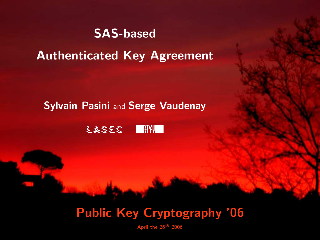## SAS-based

Authenticated Key Agreement

#### **Sylvain Pasini and Serge Vaudenay**



# Public Key Cryptography '06

April the  $26^{th}$  2006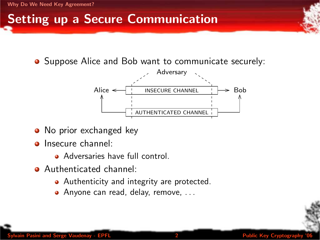## Setting up a Secure Communication

• Suppose Alice and Bob want to communicate securely:



- No prior exchanged key
- **o** Insecure channel:
	- **Adversaries have full control.**
- <span id="page-1-0"></span>Authenticated channel:
	- Authenticity and integrity are protected.
	- Anyone can read, delay, remove, ...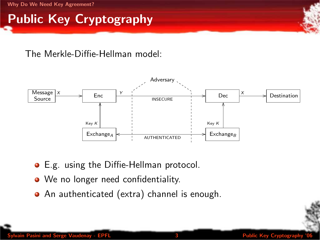## Public Key Cryptography

#### The Merkle-Diffie-Hellman model:



- E.g. using the Diffie-Hellman protocol.
- We no longer need confidentiality.
- An authenticated (extra) channel is enough.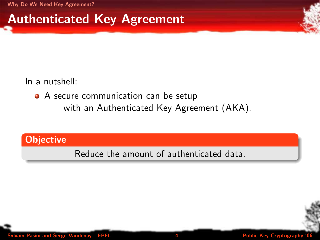## Authenticated Key Agreement

In a nutshell:

• A secure communication can be setup with an Authenticated Key Agreement (AKA).

#### **Objective**

Reduce the amount of authenticated data.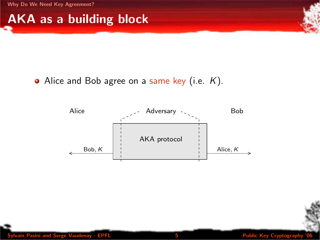#### AKA as a building block

#### • Alice and Bob agree on a same key (i.e.  $K$ ).

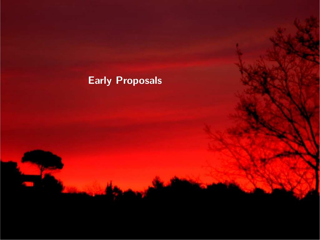#### <span id="page-5-0"></span>Early Proposals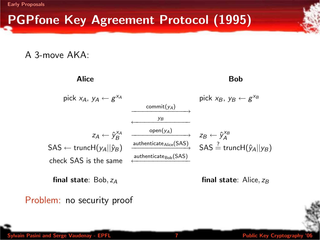[Early Proposals](#page-5-0)

## PGPfone Key Agreement Protocol (1995)

A 3-move AKA:



final state:  $Bob, z_A$  final state: Alice,  $z_B$ 

Problem: no security proof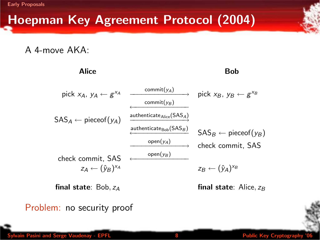[Early Proposals](#page-5-0)

## Hoepman Key Agreement Protocol (2004)

A 4-move AKA:

| Alice                                 |                                                  | Bob                                   |
|---------------------------------------|--------------------------------------------------|---------------------------------------|
| pick $x_A$ , $y_A \leftarrow g^{x_A}$ | $commit(y_A) \longrightarrow$<br>commit( $y_R$ ) | pick $x_B$ , $y_B \leftarrow g^{x_B}$ |
| $SAS_A \leftarrow pieceof(v_A)$       | authenticate Alice (SASA)                        |                                       |
|                                       | authenticate $_{\text{Bob}}(\text{SAS}_B)$       | $SAS_B \leftarrow pieceof(\gamma_B)$  |
|                                       | $open(y_A)$                                      | check commit, SAS                     |
| check commit, SAS                     | $open(y_B)$                                      |                                       |
| $Z_A \leftarrow (\hat{V}_B)^{X_A}$    |                                                  | $Z_B \leftarrow (\hat{V}_A)^{X_B}$    |
|                                       |                                                  |                                       |

final state:  $Bob, z_A$  final state:  $Alice, z_B$ 

Problem: no security proof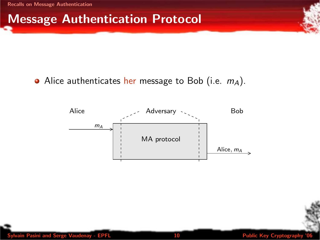#### Message Authentication Protocol

#### • Alice authenticates her message to Bob (i.e.  $m_A$ ).



EPFL 10 10 Public Key Cryptography 10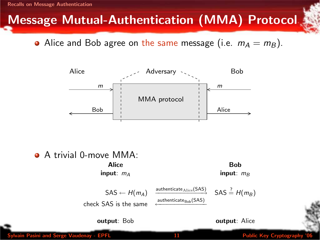## Message Mutual-Authentication (MMA) Protocol

• Alice and Bob agree on the same message (i.e.  $m_A = m_B$ ).



A trivial 0-move MMA:

Alice **Bob** input:  $m_A$  input:  $m_B$ 

SAS 
$$
\leftarrow H(m_A)
$$
   
  $\xrightarrow{\text{athematicate}_{\text{Bob}}(SAS)}$  SAS  $\stackrel{?}{=} H(m_B)$   
check SAS is the same



**output**: Bob **output: Alice** 

EPFL 11 Public Key Cryptography 11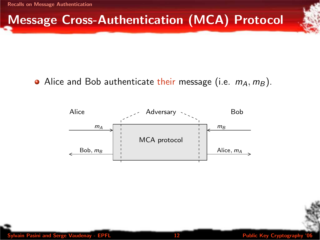## Message Cross-Authentication (MCA) Protocol

#### • Alice and Bob authenticate their message (i.e.  $m_A, m_B$ ).

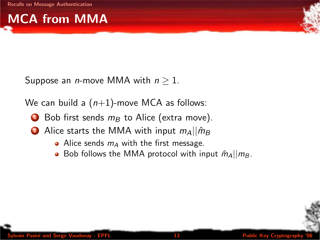# MCA from MMA



Suppose an *n*-move MMA with  $n > 1$ .

We can build a  $(n+1)$ -move MCA as follows:

- $\bullet$  Bob first sends  $m_B$  to Alice (extra move).
- 2 Alice starts the MMA with input  $m_A || \hat{m}_B$ 
	- Alice sends  $m_A$  with the first message.
	- Bob follows the MMA protocol with input  $\hat{m}_A||m_B$ .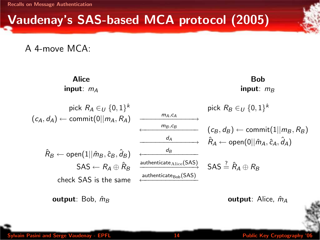## Vaudenay's SAS-based MCA protocol (2005)

A 4-move MCA:



Sylvain Pasini and Serge Vaudenay - EPFL 14 Public Key Cryptography '06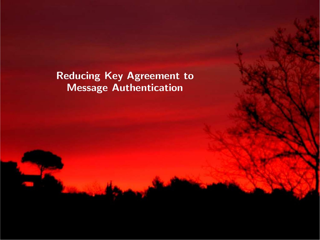<span id="page-14-0"></span>Reducing Key Agreement to Message Authentication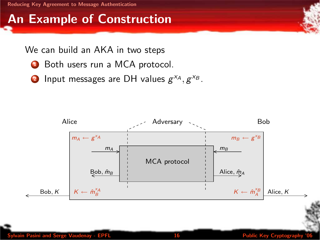## An Example of Construction

#### We can build an AKA in two steps

- **1** Both users run a MCA protocol.
- **2** Input messages are DH values  $g^{x_A}, g^{x_B}$ .

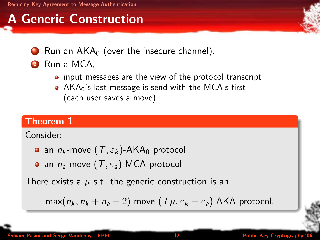## A Generic Construction

- $\bullet$  Run an AKA $_0$  (over the insecure channel).
- **2** Run a MCA.
	- input messages are the view of the protocol transcript
	- AKA<sub>0</sub>'s last message is send with the MCA's first (each user saves a move)

#### Theorem 1

Consider:

- **an**  $n_k$ -move  $(T, \varepsilon_k)$ -AKA<sub>0</sub> protocol
- **an**  $n_a$ -move  $(T, \varepsilon_a)$ -MCA protocol

There exists a  $\mu$  s.t. the generic construction is an

 $max(n_k, n_k + n_a - 2)$ -move  $(T\mu, \varepsilon_k + \varepsilon_a)$ -AKA protocol.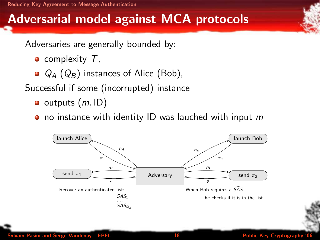[Reducing Key Agreement to Message Authentication](#page-14-0)

#### Adversarial model against MCA protocols

Adversaries are generally bounded by:

- $\bullet$  complexity  $\top$ ,
- $\bullet$   $Q_A$  ( $Q_B$ ) instances of Alice (Bob),

Successful if some (incorrupted) instance

- $\bullet$  outputs  $(m, ID)$
- $\bullet$  no instance with identity ID was lauched with input m

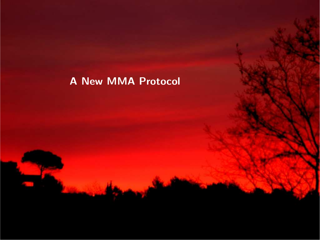#### <span id="page-18-0"></span>A New MMA Protocol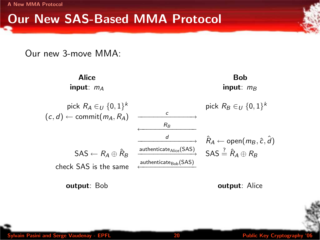[A New MMA Protocol](#page-18-0)

#### Our New SAS-Based MMA Protocol

Our new 3-move MMA:



Sylvain Pasini and Serge Vaudenay - EPFL 20 Public Key Cryptography '06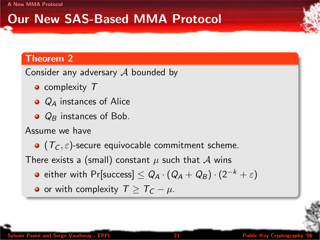## Our New SAS-Based MMA Protocol

#### Theorem 2

Consider any adversary  $A$  bounded by

- complexity T
- $\bullet$   $Q_4$  instances of Alice
- $\bullet$   $Q_B$  instances of Bob.

Assume we have

 $\bullet$  ( $T_c$ ,  $\varepsilon$ )-secure equivocable commitment scheme.

There exists a (small) constant  $\mu$  such that  $\mathcal A$  wins

- either with Pr[success]  $\leq Q_A \cdot (Q_A + Q_B) \cdot (2^{-k} + \varepsilon)$
- or with complexity  $T \geq T_c \mu$ .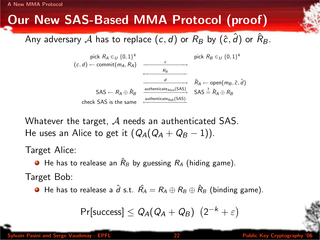[A New MMA Protocol](#page-18-0)

## Our New SAS-Based MMA Protocol (proof)

Any adversary  ${\cal A}$  has to replace  $(c,d)$  or  $R_B$  by  $(\hat c,\hat d)$  or  $\hat R_B.$ 



Whatever the target,  $\mathcal A$  needs an authenticated SAS. He uses an Alice to get it  $(Q_A(Q_A + Q_B - 1))$ .

Target Alice:

 $\bullet$  He has to realease an  $\hat{R}_B$  by guessing  $R_A$  (hiding game).

Target Bob:

**•** He has to realease a  $\hat{d}$  s.t.  $\hat{R}_A = R_A \oplus R_B \oplus \hat{R}_B$  (binding game).

$$
\mathsf{Pr}[success] \leq \mathsf{Q}_A(\mathsf{Q}_A + \mathsf{Q}_B) \ \ (2^{-k} + \varepsilon)
$$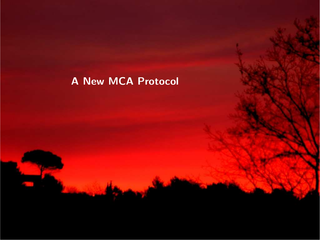#### <span id="page-22-0"></span>A New MCA Protocol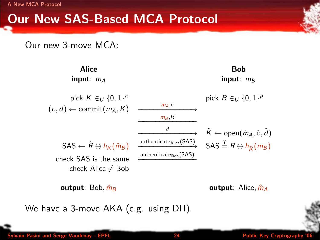[A New MCA Protocol](#page-22-0)

#### Our New SAS-Based MCA Protocol

Our new 3-move MCA:



output: Bob, mˆ <sup>B</sup> output: Alice, mˆ <sup>A</sup>

We have a 3-move AKA (e.g. using DH).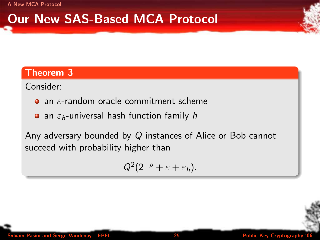[A New MCA Protocol](#page-22-0)

## Our New SAS-Based MCA Protocol

#### Theorem 3

Consider:

- $\bullet$  an  $\varepsilon$ -random oracle commitment scheme
- an  $\varepsilon_h$ -universal hash function family h

Any adversary bounded by Q instances of Alice or Bob cannot succeed with probability higher than

$$
Q^2(2^{-\rho}+\varepsilon+\varepsilon_h).
$$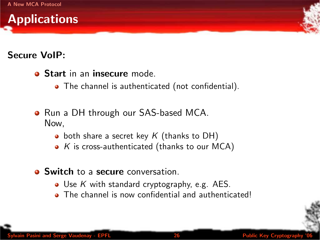

#### Secure VoIP:

- **Start in an insecure mode.** 
	- The channel is authenticated (not confidential).
- Run a DH through our SAS-based MCA. Now,
	- $\bullet$  both share a secret key K (thanks to DH)
	- $\bullet$  K is cross-authenticated (thanks to our MCA)
- **Q.** Switch to a secure conversation.
	- Use K with standard cryptography, e.g.  $AES$ .
	- The channel is now confidential and authenticated!